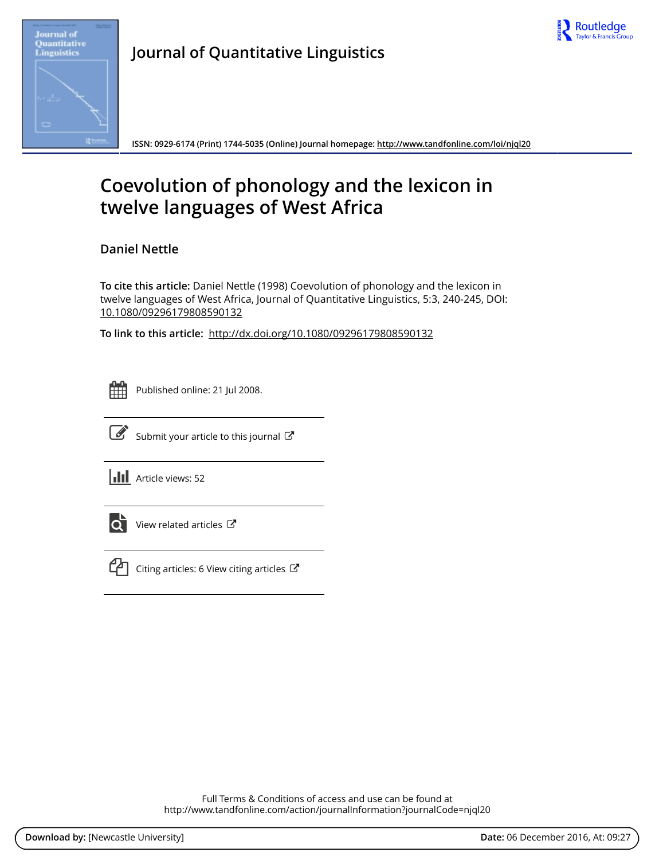



**Journal of Quantitative Linguistics**

**ISSN: 0929-6174 (Print) 1744-5035 (Online) Journal homepage:<http://www.tandfonline.com/loi/njql20>**

# **Coevolution of phonology and the lexicon in twelve languages of West Africa**

**Daniel Nettle**

**To cite this article:** Daniel Nettle (1998) Coevolution of phonology and the lexicon in twelve languages of West Africa, Journal of Quantitative Linguistics, 5:3, 240-245, DOI: [10.1080/09296179808590132](http://www.tandfonline.com/action/showCitFormats?doi=10.1080/09296179808590132)

**To link to this article:** <http://dx.doi.org/10.1080/09296179808590132>

| - |   | _<br><b>Service Service</b> | -<br>and the state of the state of the state of the state of the state of the state of the state of the state of th |
|---|---|-----------------------------|---------------------------------------------------------------------------------------------------------------------|
|   | I |                             |                                                                                                                     |
|   |   |                             |                                                                                                                     |
|   |   |                             |                                                                                                                     |

Published online: 21 Jul 2008.



 $\overline{\mathscr{L}}$  [Submit your article to this journal](http://www.tandfonline.com/action/authorSubmission?journalCode=njql20&show=instructions)  $\mathbb{Z}$ 

**III** Article views: 52



 $\overrightarrow{Q}$  [View related articles](http://www.tandfonline.com/doi/mlt/10.1080/09296179808590132)  $\overrightarrow{C}$ 



[Citing articles: 6 View citing articles](http://www.tandfonline.com/doi/citedby/10.1080/09296179808590132#tabModule)  $\mathbb{Z}$ 

Full Terms & Conditions of access and use can be found at <http://www.tandfonline.com/action/journalInformation?journalCode=njql20>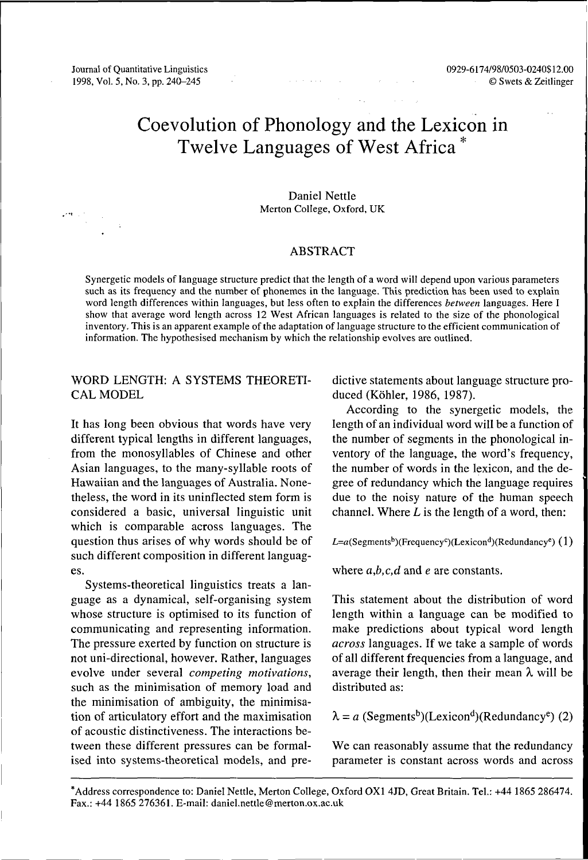Journal of Quantitative Linguistics 1998, Vol. 5, No. 3, pp. 240-245

# Coevolution of Phonology and the Lexicon in Twelve Languages of West Africa \*

Daniel Nettle Merton College, Oxford, UK

#### ABSTRACT

Synergetic models of language structure predict that the length of a word will depend upon various parameters such as its frequency and the number of phonemes in the language. This prediction has been used to explain word length differences within languages, but less often to explain the differences *between* languages. Here I show that average word length across 12 West African languages is related to the size of the phonological inventory. This is an apparent example of the adaptation of language structure to the efficient communication of information. The hypothesised mechanism by which the relationship evolves are outlined.

# WORD LENGTH: A SYSTEMS THEORETI-CAL MODEL

It has long been obvious that words have very different typical lengths in different languages, from the monosyllables of Chinese and other Asian languages, to the many-syllable roots of Hawaiian and the languages of Australia. Nonetheless, the word in its uninflected stem form is considered a basic, universal linguistic unit which is comparable across languages. The question thus arises of why words should be of such different composition in different languages.

Systems-theoretical linguistics treats a language as a dynamical, self-organising system whose structure is optimised to its function of communicating and representing information. The pressure exerted by function on structure is not uni-directional, however. Rather, languages evolve under several *competing motivations,* such as the minimisation of memory load and the minimisation of ambiguity, the minimisation of articulatory effort and the maximisation of acoustic distinctiveness. The interactions between these different pressures can be formalised into systems-theoretical models, and predictive statements about language structure produced (Kohler, 1986, 1987).

According to the synergetic models, the length of an individual word will be a function of the number of segments in the phonological inventory of the language, the word's frequency, the number of words in the lexicon, and the degree of redundancy which the language requires due to the noisy nature of the human speech channel. Where *L* is the length of a word, then:

L=a(Segments<sup>b</sup>)(Frequency<sup>c</sup>)(Lexicon<sup>d</sup>)(Redundancy<sup>e</sup>) (1)

where *a,b,c,d* and *e* are constants.

This statement about the distribution of word length within a language can be modified to make predictions about typical word length *across* languages. If we take a sample of words of all different frequencies from a language, and average their length, then their mean *X* will be distributed as:

 $\lambda = a$  (Segments<sup>b</sup>)(Lexicon<sup>d</sup>)(Redundancy<sup>e</sup>) (2)

We can reasonably assume that the redundancy parameter is constant across words and across

\*Address correspondence to: Daniel Nettle, Merton College, Oxford OX1 4JD, Great Britain. Tel.: +44 1865 286474. Fax.: +44 1865 276361. E-mail: daniel.nettle@merton.ox.ac.uk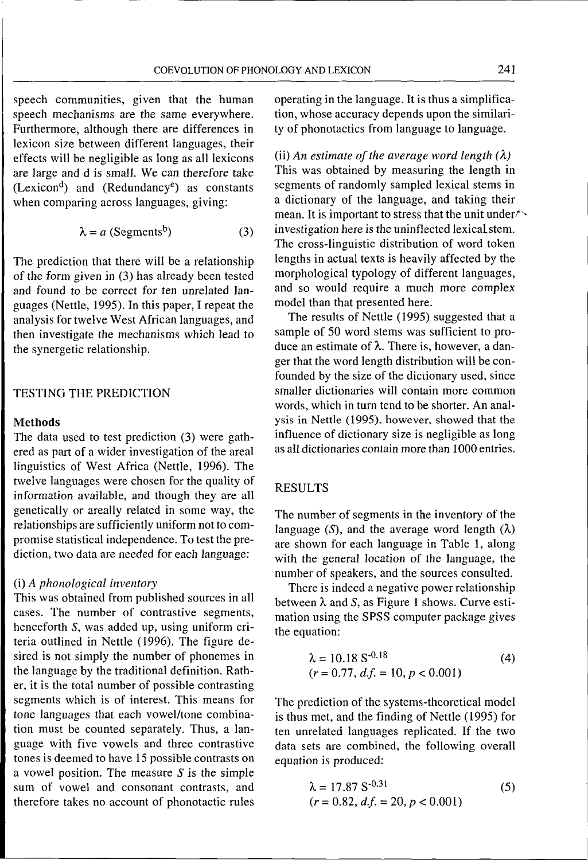speech communities, given that the human speech mechanisms are the same everywhere. Furthermore, although there are differences in lexicon size between different languages, their effects will be negligible as long as all lexicons are large and d is small. We can therefore take (Lexicon<sup>d</sup>) and (Redundancy<sup>e</sup>) as constants when comparing across languages, giving:

$$
\lambda = a \text{ (Segments}^b) \tag{3}
$$

The prediction that there will be a relationship of the form given in (3) has already been tested and found to be correct for ten unrelated languages (Nettle, 1995). In this paper, I repeat the analysis for twelve West African languages, and then investigate the mechanisms which lead to the synergetic relationship.

### TESTING THE PREDICTION

#### Methods

The data used to test prediction (3) were gathered as part of a wider investigation of the areal linguistics of West Africa (Nettle, 1996). The twelve languages were chosen for the quality of information available, and though they are all genetically or areally related in some way, the relationships are sufficiently uniform not to compromise statistical independence. To test the prediction, two data are needed for each language:

#### (i) *A phonological inventory*

This was obtained from published sources in all cases. The number of contrastive segments, henceforth *S,* was added up, using uniform criteria outlined in Nettle (1996). The figure desired is not simply the number of phonemes in the language by the traditional definition. Rather, it is the total number of possible contrasting segments which is of interest. This means for tone languages that each vowel/tone combination must be counted separately. Thus, a language with five vowels and three contrastive tones is deemed to have 15 possible contrasts on a vowel position. The measure *S* is the simple sum of vowel and consonant contrasts, and therefore takes no account of phonotactic rules operating in the language. It is thus a simplification, whose accuracy depends upon the similarity of phonotactics from language to language.

(ii) *An estimate of the average word length (X)* This was obtained by measuring the length in segments of randomly sampled lexical stems in a dictionary of the language, and taking their mean. It is important to stress that the unit under  $\sim$ investigation here is the uninflected lexical, stem. The cross-linguistic distribution of word token lengths in actual texts is heavily affected by the morphological typology of different languages, and so would require a much more complex model than that presented here.

The results of Nettle (1995) suggested that a sample of 50 word stems was sufficient to produce an estimate of *X.* There is, however, a danger that the word length distribution will be confounded by the size of the dictionary used, since smaller dictionaries will contain more common words, which in turn tend to be shorter. An analysis in Nettle (1995), however, showed that the influence of dictionary size is negligible as long as all dictionaries contain more than 1000 entries.

# RESULTS

The number of segments in the inventory of the language (S), and the average word length  $(\lambda)$ are shown for each language in Table 1, along with the general location of the language, the number of speakers, and the sources consulted.

There is indeed a negative power relationship between  $\lambda$  and  $S$ , as Figure 1 shows. Curve estimation using the SPSS computer package gives the equation:

$$
\lambda = 10.18 \text{ S}^{-0.18} \tag{4}
$$
  
(*r* = 0.77, *df*, = 10, *p* < 0.001)

The prediction of the systems-theoretical model is thus met, and the finding of Nettle (1995) for ten unrelated languages replicated. If the two data sets are combined, the following overall equation is produced:

$$
\lambda = 17.87 \text{ S}^{-0.31}
$$
 (5)  
(r = 0.82, df. = 20, p < 0.001)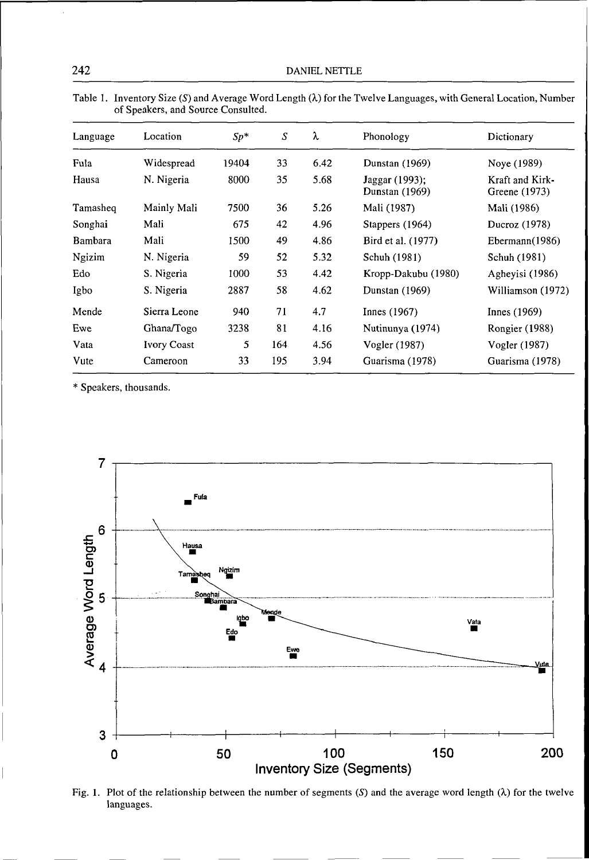242 DANIEL NETTLE

Table 1. Inventory Size (5) and Average Word Length *(X)* for the Twelve Languages, with General Location, Number of Speakers, and Source Consulted.

| Language | Location           | $Sp^*$ | S   | λ    | Phonology                        | Dictionary                       |
|----------|--------------------|--------|-----|------|----------------------------------|----------------------------------|
| Fula     | Widespread         | 19404  | 33  | 6.42 | Dunstan (1969)                   | Noye (1989)                      |
| Hausa    | N. Nigeria         | 8000   | 35  | 5.68 | Jaggar (1993);<br>Dunstan (1969) | Kraft and Kirk-<br>Greene (1973) |
| Tamasheq | Mainly Mali        | 7500   | 36  | 5.26 | Mali (1987)                      | Mali (1986)                      |
| Songhai  | Mali               | 675    | 42  | 4.96 | Stappers (1964)                  | Ducroz (1978)                    |
| Bambara  | Mali               | 1500   | 49  | 4.86 | Bird et al. (1977)               | Ebermann(1986)                   |
| Ngizim   | N. Nigeria         | 59     | 52  | 5.32 | Schuh (1981)                     | Schuh (1981)                     |
| Edo      | S. Nigeria         | 1000   | 53  | 4.42 | Kropp-Dakubu (1980)              | Agheyisi (1986)                  |
| Igbo     | S. Nigeria         | 2887   | 58  | 4.62 | Dunstan (1969)                   | Williamson (1972)                |
| Mende    | Sierra Leone       | 940    | 71  | 4.7  | Innes (1967)                     | Innes (1969)                     |
| Ewe      | Ghana/Togo         | 3238   | 81  | 4.16 | Nutinunya (1974)                 | <b>Rongier</b> (1988)            |
| Vata     | <b>Ivory Coast</b> | 5      | 164 | 4.56 | Vogler (1987)                    | Vogler (1987)                    |
| Vute     | Cameroon           | 33     | 195 | 3.94 | Guarisma (1978)                  | Guarisma (1978)                  |

: Speakers, thousands.



Fig. 1. Plot of the relationship between the number of segments (5) and the average word length *(X)* for the twelve languages.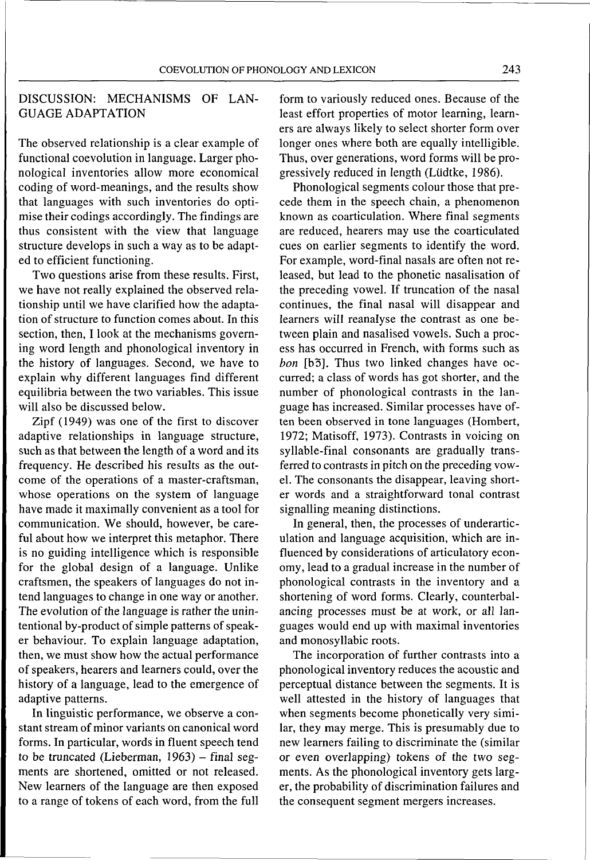# DISCUSSION: MECHANISMS OF LAN-GUAGE ADAPTATION

The observed relationship is a clear example of functional coevolution in language. Larger phonological inventories allow more economical coding of word-meanings, and the results show that languages with such inventories do optimise their codings accordingly. The findings are thus consistent with the view that language structure develops in such a way as to be adapted to efficient functioning.

Two questions arise from these results. First, we have not really explained the observed relationship until we have clarified how the adaptation of structure to function comes about. In this section, then, I look at the mechanisms governing word length and phonological inventory in the history of languages. Second, we have to explain why different languages find different equilibria between the two variables. This issue will also be discussed below.

Zipf (1949) was one of the first to discover adaptive relationships in language structure, such as that between the length of a word and its frequency. He described his results as the outcome of the operations of a master-craftsman, whose operations on the system of language have made it maximally convenient as a tool for communication. We should, however, be careful about how we interpret this metaphor. There is no guiding intelligence which is responsible for the global design of a language. Unlike craftsmen, the speakers of languages do not intend languages to change in one way or another. The evolution of the language is rather the unintentional by-product of simple patterns of speaker behaviour. To explain language adaptation, then, we must show how the actual performance of speakers, hearers and learners could, over the history of a language, lead to the emergence of adaptive patterns.

In linguistic performance, we observe a constant stream of minor variants on canonical word forms. In particular, words in fluent speech tend to be truncated (Lieberman,  $1963$ ) – final segments are shortened, omitted or not released. New learners of the language are then exposed to a range of tokens of each word, from the full

form to variously reduced ones. Because of the least effort properties of motor learning, learners are always likely to select shorter form over longer ones where both are equally intelligible. Thus, over generations, word forms will be progressively reduced in length (Liidtke, 1986).

Phonological segments colour those that precede them in the speech chain, a phenomenon known as coarticulation. Where final segments are reduced, hearers may use the coarticulated cues on earlier segments to identify the word. For example, word-final nasals are often not released, but lead to the phonetic nasalisation of the preceding vowel. If truncation of the nasal continues, the final nasal will disappear and learners will reanalyse the contrast as one between plain and nasalised vowels. Such a process has occurred in French, with forms such as *bon* [bot]. Thus two linked changes have occurred; a class of words has got shorter, and the number of phonological contrasts in the language has increased. Similar processes have often been observed in tone languages (Hombert, 1972; Matisoff, 1973). Contrasts in voicing on syllable-final consonants are gradually transferred to contrasts in pitch on the preceding vowel. The consonants the disappear, leaving shorter words and a straightforward tonal contrast signalling meaning distinctions.

In general, then, the processes of underarticulation and language acquisition, which are influenced by considerations of articulatory economy, lead to a gradual increase in the number of phonological contrasts in the inventory and a shortening of word forms. Clearly, counterbalancing processes must be at work, or all languages would end up with maximal inventories and monosyllabic roots.

The incorporation of further contrasts into a phonological inventory reduces the acoustic and perceptual distance between the segments. It is well attested in the history of languages that when segments become phonetically very similar, they may merge. This is presumably due to new learners failing to discriminate the (similar or even overlapping) tokens of the two segments. As the phonological inventory gets larger, the probability of discrimination failures and the consequent segment mergers increases.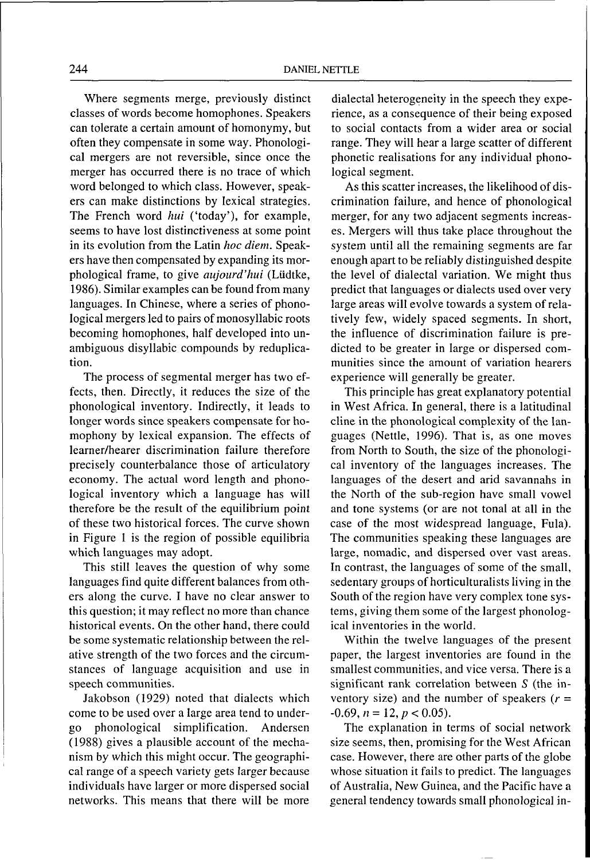Where segments merge, previously distinct classes of words become homophones. Speakers can tolerate a certain amount of homonymy, but often they compensate in some way. Phonological mergers are not reversible, since once the merger has occurred there is no trace of which word belonged to which class. However, speakers can make distinctions by lexical strategies. The French word *hui* ('today'), for example, seems to have lost distinctiveness at some point in its evolution from the Latin *hoc diem.* Speakers have then compensated by expanding its morphological frame, to give *aujourd'hui* (Liidtke, 1986). Similar examples can be found from many languages. In Chinese, where a series of phonological mergers led to pairs of monosyllabic roots becoming homophones, half developed into unambiguous disyllabic compounds by reduplication.

The process of segmental merger has two effects, then. Directly, it reduces the size of the phonological inventory. Indirectly, it leads to longer words since speakers compensate for homophony by lexical expansion. The effects of learner/hearer discrimination failure therefore precisely counterbalance those of articulatory economy. The actual word length and phonological inventory which a language has will therefore be the result of the equilibrium point of these two historical forces. The curve shown in Figure 1 is the region of possible equilibria which languages may adopt.

This still leaves the question of why some languages find quite different balances from others along the curve. I have no clear answer to this question; it may reflect no more than chance historical events. On the other hand, there could be some systematic relationship between the relative strength of the two forces and the circumstances of language acquisition and use in speech communities.

Jakobson (1929) noted that dialects which come to be used over a large area tend to undergo phonological simplification. Andersen (1988) gives a plausible account of the mechanism by which this might occur. The geographical range of a speech variety gets larger because individuals have larger or more dispersed social networks. This means that there will be more dialectal heterogeneity in the speech they experience, as a consequence of their being exposed to social contacts from a wider area or social range. They will hear a large scatter of different phonetic realisations for any individual phonological segment.

As this scatter increases, the likelihood of discrimination failure, and hence of phonological merger, for any two adjacent segments increases. Mergers will thus take place throughout the system until all the remaining segments are far enough apart to be reliably distinguished despite the level of dialectal variation. We might thus predict that languages or dialects used over very large areas will evolve towards a system of relatively few, widely spaced segments. In short, the influence of discrimination failure is predicted to be greater in large or dispersed communities since the amount of variation hearers experience will generally be greater.

This principle has great explanatory potential in West Africa. In general, there is a latitudinal cline in the phonological complexity of the languages (Nettle, 1996). That is, as one moves from North to South, the size of the phonological inventory of the languages increases. The languages of the desert and arid savannahs in the North of the sub-region have small vowel and tone systems (or are not tonal at all in the case of the most widespread language, Fula). The communities speaking these languages are large, nomadic, and dispersed over vast areas. In contrast, the languages of some of the small, sedentary groups of horticulturalists living in the South of the region have very complex tone systems, giving them some of the largest phonological inventories in the world.

Within the twelve languages of the present paper, the largest inventories are found in the smallest communities, and vice versa. There is a significant rank correlation between *S* (the inventory size) and the number of speakers  $(r =$  $-0.69$ ,  $n=12$ ,  $p < 0.05$ ).

The explanation in terms of social network size seems, then, promising for the West African case. However, there are other parts of the globe whose situation it fails to predict. The languages of Australia, New Guinea, and the Pacific have a general tendency towards small phonological in